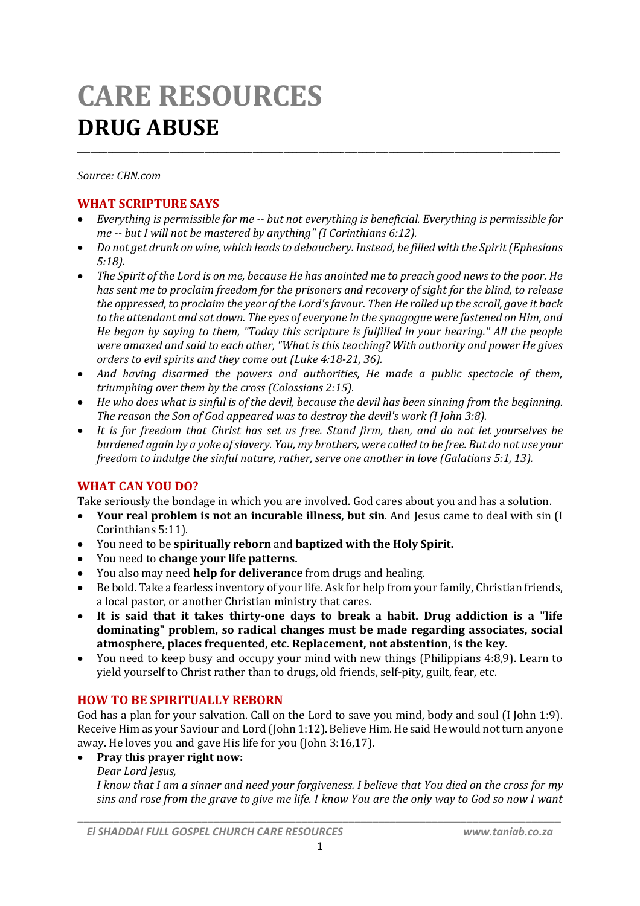# **CARE RESOURCES DRUG ABUSE**

*Source: CBN.com*

# **WHAT SCRIPTURE SAYS**

 *Everything is permissible for me -- but not everything is beneficial. Everything is permissible for me -- but I will not be mastered by anything" (I Corinthians 6:12).*

\_\_\_\_\_\_\_\_\_\_\_\_\_\_\_\_\_\_\_\_\_\_\_\_\_\_\_\_\_\_\_\_\_\_\_\_\_\_\_\_\_\_\_\_\_\_\_\_\_\_\_\_\_\_\_\_\_\_\_\_\_\_\_\_\_\_\_\_\_\_\_\_\_\_\_\_\_\_\_\_\_\_\_\_\_\_\_\_\_\_\_\_\_\_\_\_\_\_\_\_\_\_\_\_\_\_\_\_\_\_

- *Do not get drunk on wine, which leads to debauchery. Instead, be filled with the Spirit (Ephesians 5:18).*
- *The Spirit of the Lord is on me, because He has anointed me to preach good news to the poor. He has sent me to proclaim freedom for the prisoners and recovery of sight for the blind, to release the oppressed, to proclaim the year of the Lord's favour. Then He rolled up the scroll, gave it back to the attendant and sat down. The eyes of everyone in the synagogue were fastened on Him, and He began by saying to them, "Today this scripture is fulfilled in your hearing." All the people were amazed and said to each other, "What is this teaching? With authority and power He gives orders to evil spirits and they come out (Luke 4:18-21, 36).*
- *And having disarmed the powers and authorities, He made a public spectacle of them, triumphing over them by the cross (Colossians 2:15).*
- *He who does what is sinful is of the devil, because the devil has been sinning from the beginning. The reason the Son of God appeared was to destroy the devil's work (I John 3:8).*
- *It is for freedom that Christ has set us free. Stand firm, then, and do not let yourselves be burdened again by a yoke of slavery. You, my brothers, were called to be free. But do not use your freedom to indulge the sinful nature, rather, serve one another in love (Galatians 5:1, 13).*

# **WHAT CAN YOU DO?**

Take seriously the bondage in which you are involved. God cares about you and has a solution.

- **Your real problem is not an incurable illness, but sin**. And Jesus came to deal with sin (I Corinthians 5:11).
- You need to be **spiritually reborn** and **baptized with the Holy Spirit.**
- You need to **change your life patterns.**
- You also may need **help for deliverance** from drugs and healing.
- Be bold. Take a fearless inventory of your life. Ask for help from your family, Christian friends, a local pastor, or another Christian ministry that cares.
- **It is said that it takes thirty-one days to break a habit. Drug addiction is a "life dominating" problem, so radical changes must be made regarding associates, social atmosphere, places frequented, etc. Replacement, not abstention, is the key.**
- You need to keep busy and occupy your mind with new things (Philippians 4:8,9). Learn to yield yourself to Christ rather than to drugs, old friends, self-pity, guilt, fear, etc.

# **HOW TO BE SPIRITUALLY REBORN**

God has a plan for your salvation. Call on the Lord to save you mind, body and soul (I John 1:9). Receive Him as your Saviour and Lord (John 1:12). Believe Him. He said He would not turn anyone away. He loves you and gave His life for you (John 3:16,17).

# **Pray this prayer right now:**

## *Dear Lord Jesus,*

*I know that I am a sinner and need your forgiveness. I believe that You died on the cross for my sins and rose from the grave to give me life. I know You are the only way to God so now I want*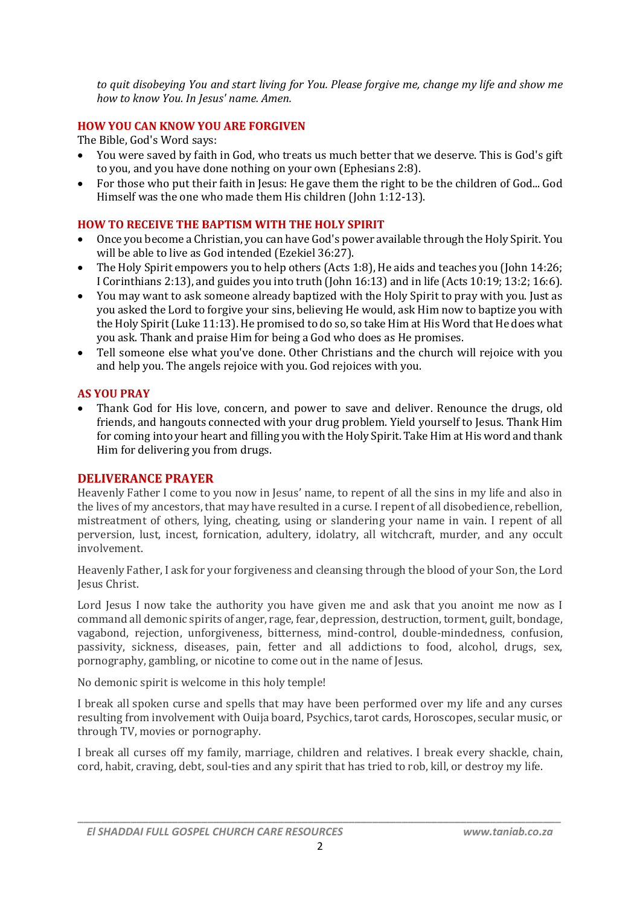*to quit disobeying You and start living for You. Please forgive me, change my life and show me how to know You. In Jesus' name. Amen.*

# **HOW YOU CAN KNOW YOU ARE FORGIVEN**

The Bible, God's Word says:

- You were saved by faith in God, who treats us much better that we deserve. This is God's gift to you, and you have done nothing on your own (Ephesians 2:8).
- For those who put their faith in Jesus: He gave them the right to be the children of God... God Himself was the one who made them His children (John 1:12-13).

#### **HOW TO RECEIVE THE BAPTISM WITH THE HOLY SPIRIT**

- Once you become a Christian, you can have God's power available through the Holy Spirit. You will be able to live as God intended (Ezekiel 36:27).
- The Holy Spirit empowers you to help others (Acts 1:8), He aids and teaches you (John 14:26; I Corinthians 2:13), and guides you into truth (John 16:13) and in life (Acts 10:19; 13:2; 16:6).
- You may want to ask someone already baptized with the Holy Spirit to pray with you. Just as you asked the Lord to forgive your sins, believing He would, ask Him now to baptize you with the Holy Spirit (Luke 11:13). He promised to do so, so take Him at His Word that He does what you ask. Thank and praise Him for being a God who does as He promises.
- Tell someone else what you've done. Other Christians and the church will rejoice with you and help you. The angels rejoice with you. God rejoices with you.

#### **AS YOU PRAY**

 Thank God for His love, concern, and power to save and deliver. Renounce the drugs, old friends, and hangouts connected with your drug problem. Yield yourself to Jesus. Thank Him for coming into your heart and filling you with the Holy Spirit. Take Him at His word and thank Him for delivering you from drugs.

## **DELIVERANCE PRAYER**

Heavenly Father I come to you now in Jesus' name, to repent of all the sins in my life and also in the lives of my ancestors, that may have resulted in a curse. I repent of all disobedience, rebellion, mistreatment of others, lying, cheating, using or slandering your name in vain. I repent of all perversion, lust, incest, fornication, adultery, idolatry, all witchcraft, murder, and any occult involvement.

Heavenly Father, I ask for your forgiveness and cleansing through the blood of your Son, the Lord Jesus Christ.

Lord Jesus I now take the authority you have given me and ask that you anoint me now as I command all demonic spirits of anger, rage, fear, depression, destruction, torment, guilt, bondage, vagabond, rejection, unforgiveness, bitterness, mind-control, double-mindedness, confusion, passivity, sickness, diseases, pain, fetter and all addictions to food, alcohol, drugs, sex, pornography, gambling, or nicotine to come out in the name of Jesus.

No demonic spirit is welcome in this holy temple!

I break all spoken curse and spells that may have been performed over my life and any curses resulting from involvement with Ouija board, Psychics, tarot cards, Horoscopes, secular music, or through TV, movies or pornography.

I break all curses off my family, marriage, children and relatives. I break every shackle, chain, cord, habit, craving, debt, soul-ties and any spirit that has tried to rob, kill, or destroy my life.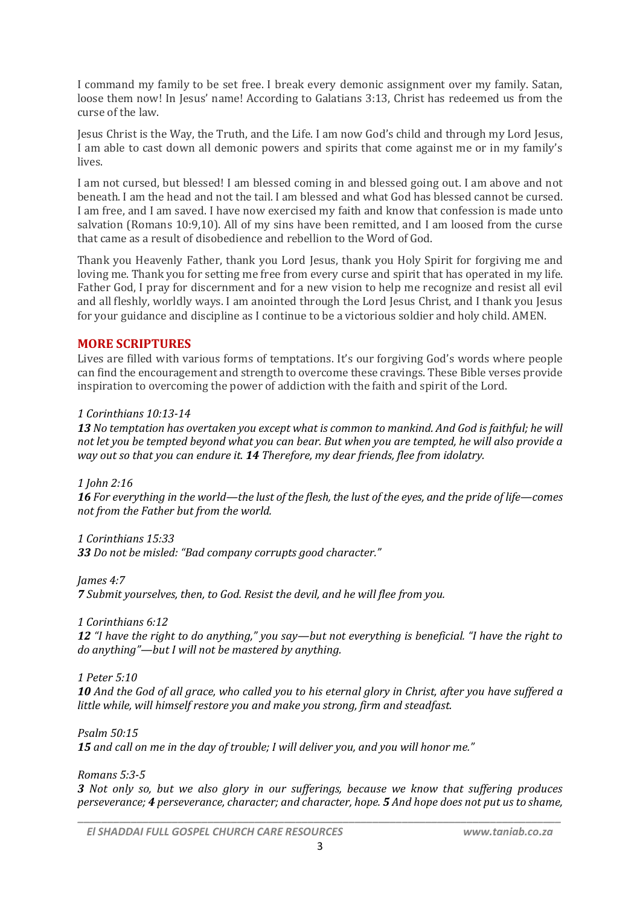I command my family to be set free. I break every demonic assignment over my family. Satan, loose them now! In Jesus' name! According to Galatians 3:13, Christ has redeemed us from the curse of the law.

Jesus Christ is the Way, the Truth, and the Life. I am now God's child and through my Lord Jesus, I am able to cast down all demonic powers and spirits that come against me or in my family's lives.

I am not cursed, but blessed! I am blessed coming in and blessed going out. I am above and not beneath. I am the head and not the tail. I am blessed and what God has blessed cannot be cursed. I am free, and I am saved. I have now exercised my faith and know that confession is made unto salvation (Romans 10:9,10). All of my sins have been remitted, and I am loosed from the curse that came as a result of disobedience and rebellion to the Word of God.

Thank you Heavenly Father, thank you Lord Jesus, thank you Holy Spirit for forgiving me and loving me. Thank you for setting me free from every curse and spirit that has operated in my life. Father God, I pray for discernment and for a new vision to help me recognize and resist all evil and all fleshly, worldly ways. I am anointed through the Lord Jesus Christ, and I thank you Jesus for your guidance and discipline as I continue to be a victorious soldier and holy child. AMEN.

# **MORE SCRIPTURES**

Lives are filled with various forms of temptations. It's our forgiving God's words where people can find the encouragement and strength to overcome these cravings. These Bible verses provide inspiration to overcoming the power of addiction with the faith and spirit of the Lord.

## *1 Corinthians 10:13-14*

*13 No temptation has overtaken you except what is common to mankind. And God is faithful; he will not let you be tempted beyond what you can bear. But when you are tempted, he will also provide a way out so that you can endure it. 14 Therefore, my dear friends, flee from idolatry.*

*1 John 2:16*

*16 For everything in the world—the lust of the flesh, the lust of the eyes, and the pride of life—comes not from the Father but from the world.*

*1 Corinthians 15:33*

*33 Do not be misled: "Bad company corrupts good character."*

*James 4:7*

*7 Submit yourselves, then, to God. Resist the devil, and he will flee from you.*

*1 Corinthians 6:12*

*12 "I have the right to do anything," you say—but not everything is beneficial. "I have the right to do anything"—but I will not be mastered by anything.*

*1 Peter 5:10*

*10 And the God of all grace, who called you to his eternal glory in Christ, after you have suffered a little while, will himself restore you and make you strong, firm and steadfast.*

*Psalm 50:15*

*15 and call on me in the day of trouble; I will deliver you, and you will honor me."*

*Romans 5:3-5*

*3 Not only so, but we also glory in our sufferings, because we know that suffering produces perseverance; 4 perseverance, character; and character, hope. 5 And hope does not put us to shame,*